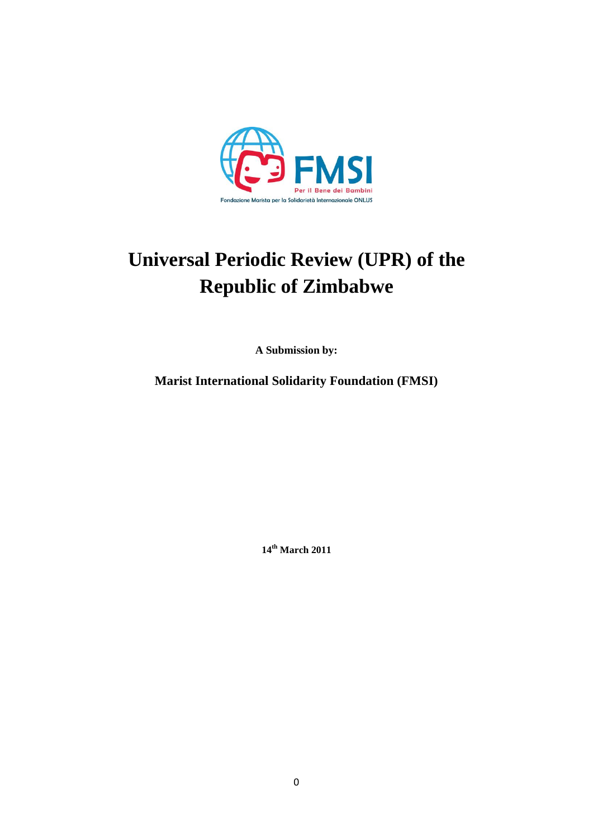

# **Universal Periodic Review (UPR) of the Republic of Zimbabwe**

**A Submission by:**

**Marist International Solidarity Foundation (FMSI)**

**14th March 2011**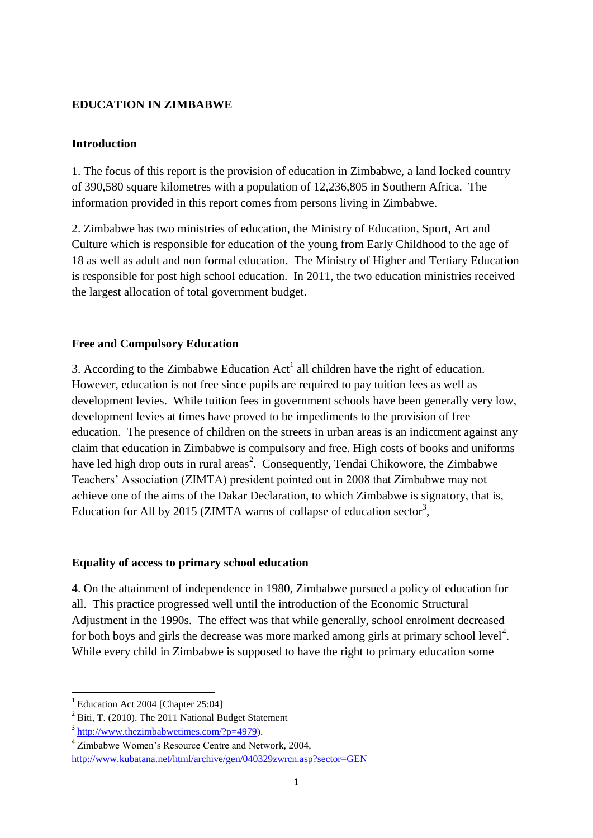# **EDUCATION IN ZIMBABWE**

## **Introduction**

1. The focus of this report is the provision of education in Zimbabwe, a land locked country of 390,580 square kilometres with a population of 12,236,805 in Southern Africa. The information provided in this report comes from persons living in Zimbabwe.

2. Zimbabwe has two ministries of education, the Ministry of Education, Sport, Art and Culture which is responsible for education of the young from Early Childhood to the age of 18 as well as adult and non formal education. The Ministry of Higher and Tertiary Education is responsible for post high school education. In 2011, the two education ministries received the largest allocation of total government budget.

## **Free and Compulsory Education**

3. According to the Zimbabwe Education  $Act<sup>1</sup>$  all children have the right of education. However, education is not free since pupils are required to pay tuition fees as well as development levies. While tuition fees in government schools have been generally very low, development levies at times have proved to be impediments to the provision of free education. The presence of children on the streets in urban areas is an indictment against any claim that education in Zimbabwe is compulsory and free. High costs of books and uniforms have led high drop outs in rural areas<sup>2</sup>. Consequently, Tendai Chikowore, the Zimbabwe Teachers' Association (ZIMTA) president pointed out in 2008 that Zimbabwe may not achieve one of the aims of the Dakar Declaration, to which Zimbabwe is signatory, that is, Education for All by 2015 (ZIMTA warns of collapse of education sector<sup>3</sup>,

#### **Equality of access to primary school education**

4. On the attainment of independence in 1980, Zimbabwe pursued a policy of education for all. This practice progressed well until the introduction of the Economic Structural Adjustment in the 1990s. The effect was that while generally, school enrolment decreased for both boys and girls the decrease was more marked among girls at primary school level<sup>4</sup>. While every child in Zimbabwe is supposed to have the right to primary education some

1

<sup>&</sup>lt;sup>1</sup> Education Act 2004 [Chapter 25:04]

 $2$  Biti, T. (2010). The 2011 National Budget Statement

<sup>&</sup>lt;sup>3</sup> [http://www.thezimbabwetimes.com/?p=4979\)](http://www.thezimbabwetimes.com/?p=4979).

<sup>4</sup> Zimbabwe Women's Resource Centre and Network, 2004, <http://www.kubatana.net/html/archive/gen/040329zwrcn.asp?sector=GEN>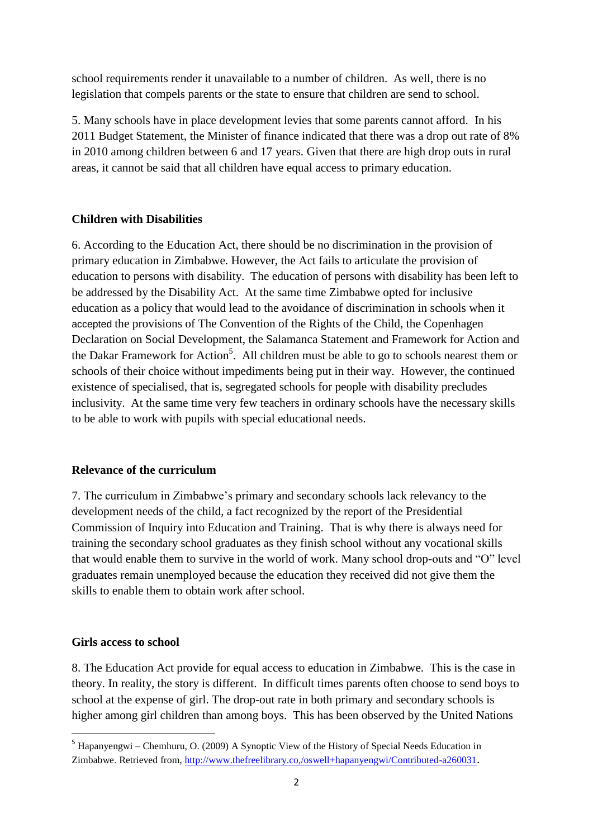school requirements render it unavailable to a number of children. As well, there is no legislation that compels parents or the state to ensure that children are send to school.

5. Many schools have in place development levies that some parents cannot afford. In his 2011 Budget Statement, the Minister of finance indicated that there was a drop out rate of 8% in 2010 among children between 6 and 17 years. Given that there are high drop outs in rural areas, it cannot be said that all children have equal access to primary education.

#### **Children with Disabilities**

6. According to the Education Act, there should be no discrimination in the provision of primary education in Zimbabwe. However, the Act fails to articulate the provision of education to persons with disability. The education of persons with disability has been left to be addressed by the Disability Act. At the same time Zimbabwe opted for inclusive education as a policy that would lead to the avoidance of discrimination in schools when it accepted the provisions of The Convention of the Rights of the Child, the Copenhagen Declaration on Social Development, the Salamanca Statement and Framework for Action and the Dakar Framework for Action<sup>5</sup>. All children must be able to go to schools nearest them or schools of their choice without impediments being put in their way. However, the continued existence of specialised, that is, segregated schools for people with disability precludes inclusivity. At the same time very few teachers in ordinary schools have the necessary skills to be able to work with pupils with special educational needs.

#### **Relevance of the curriculum**

7. The curriculum in Zimbabwe's primary and secondary schools lack relevancy to the development needs of the child, a fact recognized by the report of the Presidential Commission of Inquiry into Education and Training. That is why there is always need for training the secondary school graduates as they finish school without any vocational skills that would enable them to survive in the world of work. Many school drop-outs and "O" level graduates remain unemployed because the education they received did not give them the skills to enable them to obtain work after school.

#### **Girls access to school**

**.** 

8. The Education Act provide for equal access to education in Zimbabwe. This is the case in theory. In reality, the story is different. In difficult times parents often choose to send boys to school at the expense of girl. The drop-out rate in both primary and secondary schools is higher among girl children than among boys. This has been observed by the United Nations

<sup>5</sup> Hapanyengwi – Chemhuru, O. (2009) A Synoptic View of the History of Special Needs Education in Zimbabwe. Retrieved from,<http://www.thefreelibrary.co,/oswell+hapanyengwi/Contributed-a260031>.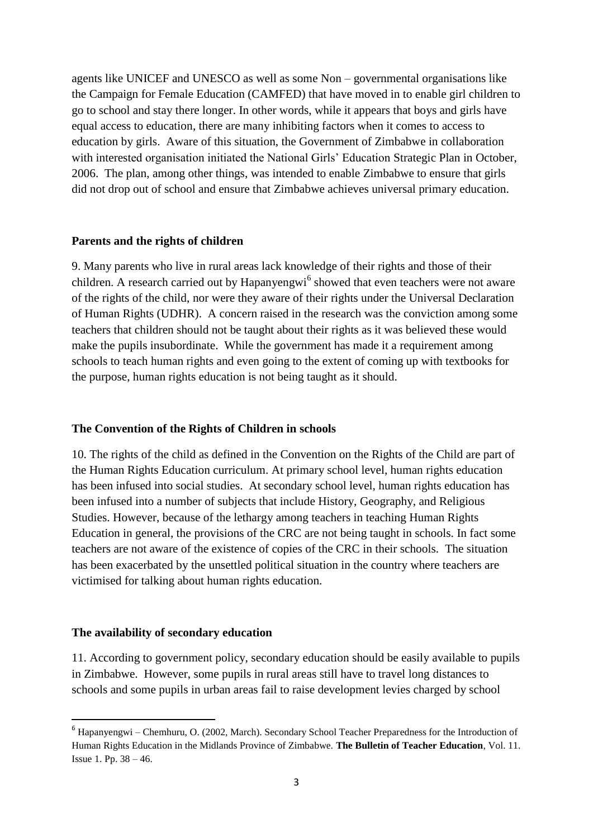agents like UNICEF and UNESCO as well as some Non – governmental organisations like the Campaign for Female Education (CAMFED) that have moved in to enable girl children to go to school and stay there longer. In other words, while it appears that boys and girls have equal access to education, there are many inhibiting factors when it comes to access to education by girls. Aware of this situation, the Government of Zimbabwe in collaboration with interested organisation initiated the National Girls' Education Strategic Plan in October, 2006. The plan, among other things, was intended to enable Zimbabwe to ensure that girls did not drop out of school and ensure that Zimbabwe achieves universal primary education.

#### **Parents and the rights of children**

9. Many parents who live in rural areas lack knowledge of their rights and those of their children. A research carried out by Hapanyengwi<sup>6</sup> showed that even teachers were not aware of the rights of the child, nor were they aware of their rights under the Universal Declaration of Human Rights (UDHR). A concern raised in the research was the conviction among some teachers that children should not be taught about their rights as it was believed these would make the pupils insubordinate. While the government has made it a requirement among schools to teach human rights and even going to the extent of coming up with textbooks for the purpose, human rights education is not being taught as it should.

## **The Convention of the Rights of Children in schools**

10. The rights of the child as defined in the Convention on the Rights of the Child are part of the Human Rights Education curriculum. At primary school level, human rights education has been infused into social studies. At secondary school level, human rights education has been infused into a number of subjects that include History, Geography, and Religious Studies. However, because of the lethargy among teachers in teaching Human Rights Education in general, the provisions of the CRC are not being taught in schools. In fact some teachers are not aware of the existence of copies of the CRC in their schools. The situation has been exacerbated by the unsettled political situation in the country where teachers are victimised for talking about human rights education.

#### **The availability of secondary education**

1

11. According to government policy, secondary education should be easily available to pupils in Zimbabwe. However, some pupils in rural areas still have to travel long distances to schools and some pupils in urban areas fail to raise development levies charged by school

<sup>6</sup> Hapanyengwi – Chemhuru, O. (2002, March). Secondary School Teacher Preparedness for the Introduction of Human Rights Education in the Midlands Province of Zimbabwe. **The Bulletin of Teacher Education**, Vol. 11. Issue 1. Pp. 38 – 46.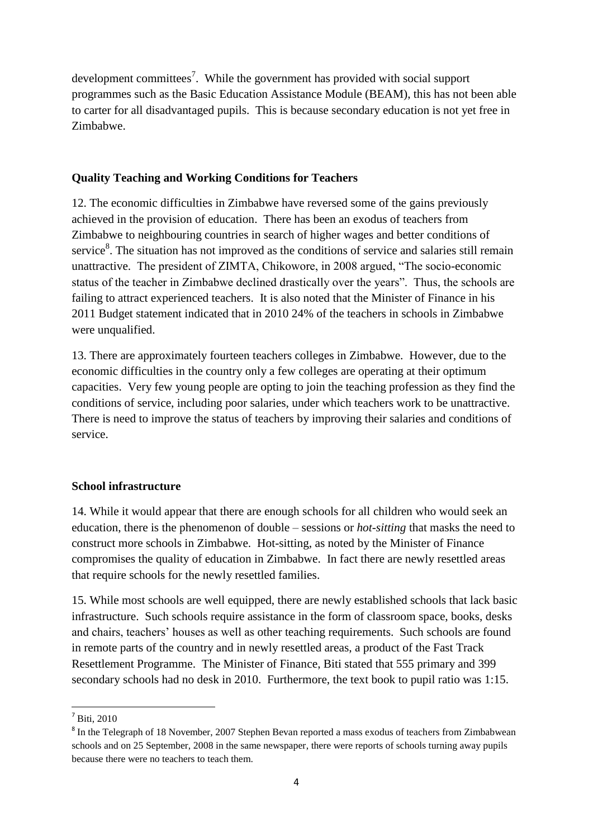development committees<sup>7</sup>. While the government has provided with social support programmes such as the Basic Education Assistance Module (BEAM), this has not been able to carter for all disadvantaged pupils. This is because secondary education is not yet free in Zimbabwe.

## **Quality Teaching and Working Conditions for Teachers**

12. The economic difficulties in Zimbabwe have reversed some of the gains previously achieved in the provision of education. There has been an exodus of teachers from Zimbabwe to neighbouring countries in search of higher wages and better conditions of service<sup>8</sup>. The situation has not improved as the conditions of service and salaries still remain unattractive. The president of ZIMTA, Chikowore, in 2008 argued, "The socio-economic status of the teacher in Zimbabwe declined drastically over the years". Thus, the schools are failing to attract experienced teachers. It is also noted that the Minister of Finance in his 2011 Budget statement indicated that in 2010 24% of the teachers in schools in Zimbabwe were unqualified.

13. There are approximately fourteen teachers colleges in Zimbabwe. However, due to the economic difficulties in the country only a few colleges are operating at their optimum capacities. Very few young people are opting to join the teaching profession as they find the conditions of service, including poor salaries, under which teachers work to be unattractive. There is need to improve the status of teachers by improving their salaries and conditions of service.

## **School infrastructure**

14. While it would appear that there are enough schools for all children who would seek an education, there is the phenomenon of double – sessions or *hot-sitting* that masks the need to construct more schools in Zimbabwe. Hot-sitting, as noted by the Minister of Finance compromises the quality of education in Zimbabwe. In fact there are newly resettled areas that require schools for the newly resettled families.

15. While most schools are well equipped, there are newly established schools that lack basic infrastructure. Such schools require assistance in the form of classroom space, books, desks and chairs, teachers' houses as well as other teaching requirements. Such schools are found in remote parts of the country and in newly resettled areas, a product of the Fast Track Resettlement Programme. The Minister of Finance, Biti stated that 555 primary and 399 secondary schools had no desk in 2010. Furthermore, the text book to pupil ratio was 1:15.

<sup>1</sup>  $<sup>7</sup>$  Biti, 2010</sup>

<sup>&</sup>lt;sup>8</sup> In the Telegraph of 18 November, 2007 Stephen Bevan reported a mass exodus of teachers from Zimbabwean schools and on 25 September, 2008 in the same newspaper, there were reports of schools turning away pupils because there were no teachers to teach them.